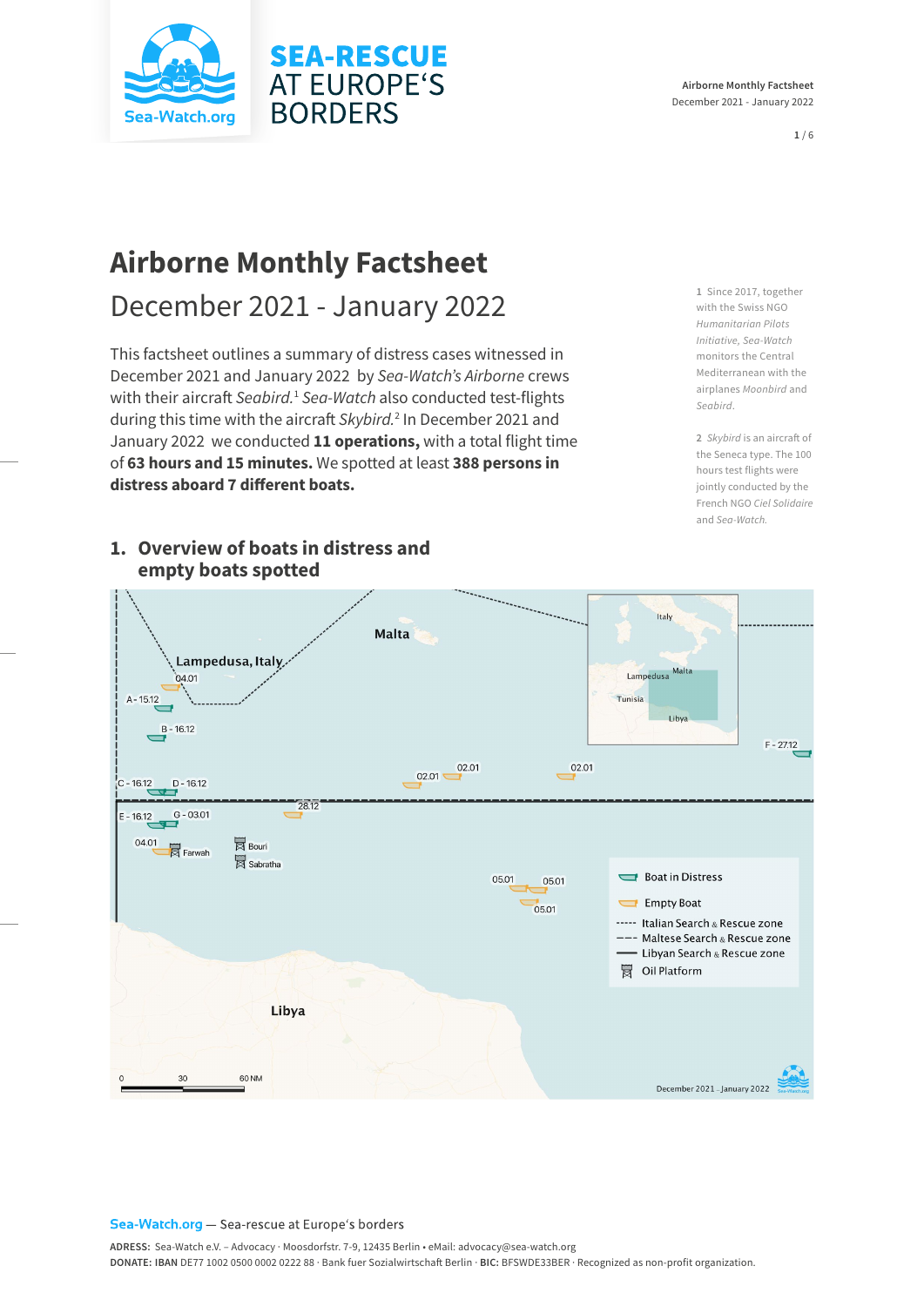



**1** / 6

# **Airborne Monthly Factsheet**

December 2021 - January 2022

This factsheet outlines a summary of distress cases witnessed in December 2021 and January 2022 by *Sea-Watch's Airborne* crews with their aircraft Seabird.<sup>1</sup> Sea-Watch also conducted test-flights during this time with the aircraft *Skybird.*<sup>2</sup> In December 2021 and January 2022 we conducted **11 operations,** with a total flight time of **63 hours and 15 minutes.** We spotted at least **388 persons in distress aboard 7 different boats.** 

**SEA-RESCUE AT EUROPE'S** 

**BORDERS** 

### **1. Overview of boats in distress and empty boats spotted**

 $\sim$ Italy Malta Lampedusa, Italy Lampedusa Malta  $04.01$ Tunisia  $A - 15.12$  $11h$  $R - 1612$  $F - 27.12$ 02.01 02.01  $02.01 \n\overline{C}$  $D - 16.12$ 28.12  $G - 03.01$  $-1612$ 04.01  $\overline{\boxtimes}$  Bouri  $\overline{\mathbb{R}}$  Farwah Sabratha Boat in Distress 05.01 05.01 Empty Boat 05.01 ----- Italian Search & Rescue zone --- Maltese Search & Rescue zone - Libyan Search & Rescue zone Oil Platform Libya

Sea-Watch.org - Sea-rescue at Europe's borders

60 NM

 $30^{\circ}$ 

**1** Since 2017, together with the Swiss NGO *Humanitarian Pilots Initiative, Sea-Watch* monitors the Central Mediterranean with the airplanes *Moonbird* and *Seabird*.

**2** *Skybird* is an aircraft of the Seneca type. The 100 hours test flights were jointly conducted by the French NGO *Ciel Solidaire* and *Sea-Watch.*

December 2021 - January 2022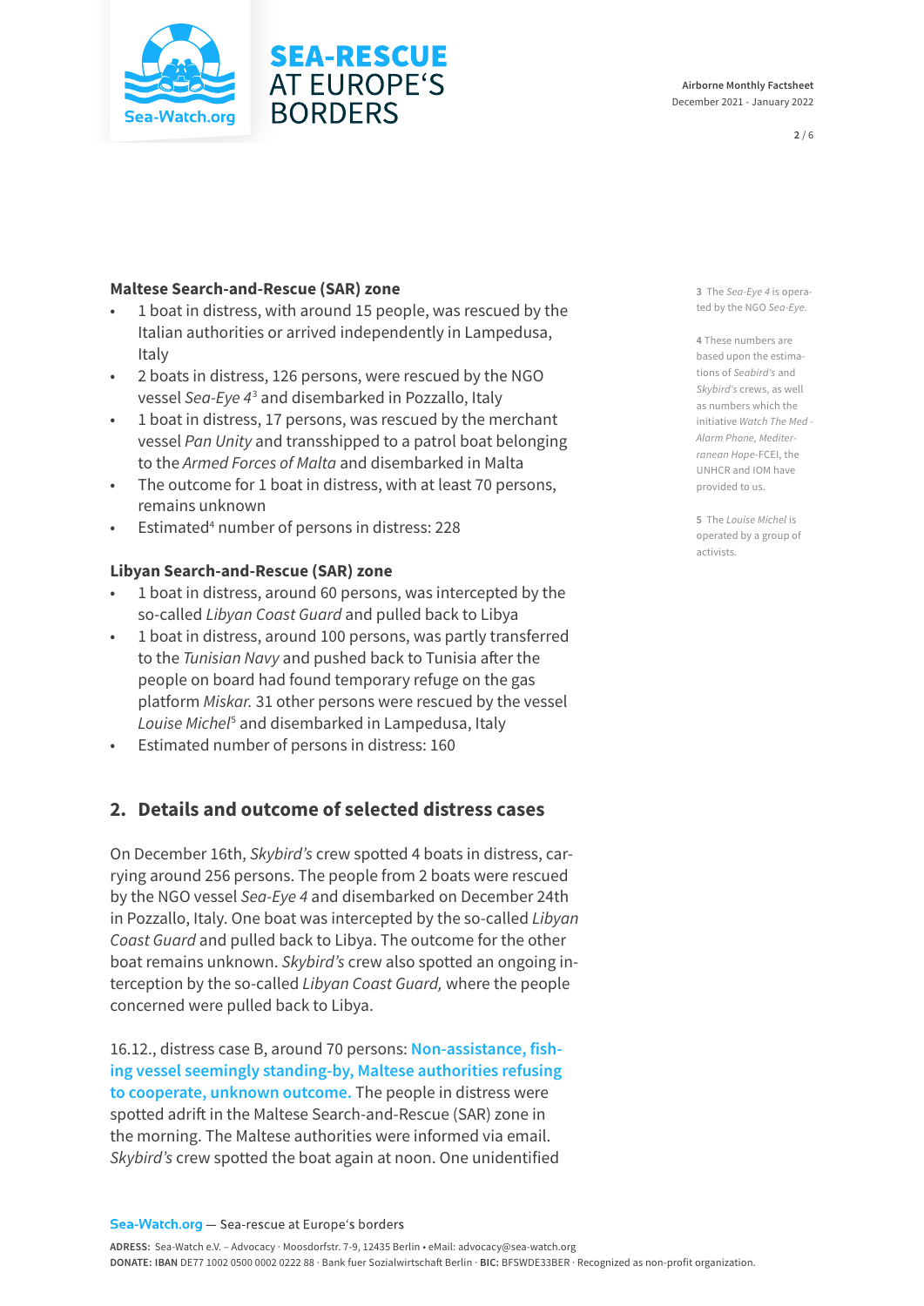

#### **Airborne Monthly Factsheet**  December 2021 - January 2022

**2** / 6

#### **Maltese Search-and-Rescue (SAR) zone**

- 1 boat in distress, with around 15 people, was rescued by the Italian authorities or arrived independently in Lampedusa, Italy
- 2 boats in distress, 126 persons, were rescued by the NGO vessel *Sea-Eye 4*<sup>3</sup> and disembarked in Pozzallo, Italy
- 1 boat in distress, 17 persons, was rescued by the merchant vessel *Pan Unity* and transshipped to a patrol boat belonging to the *Armed Forces of Malta* and disembarked in Malta
- The outcome for 1 boat in distress, with at least 70 persons, remains unknown
- Estimated<sup>4</sup> number of persons in distress: 228

#### **Libyan Search-and-Rescue (SAR) zone**

- 1 boat in distress, around 60 persons, was intercepted by the so-called *Libyan Coast Guard* and pulled back to Libya
- 1 boat in distress, around 100 persons, was partly transferred to the *Tunisian Navy* and pushed back to Tunisia after the people on board had found temporary refuge on the gas platform *Miskar.* 31 other persons were rescued by the vessel Louise Michel<sup>5</sup> and disembarked in Lampedusa, Italy
- Estimated number of persons in distress: 160

## **2. Details and outcome of selected distress cases**

On December 16th, *Skybird's* crew spotted 4 boats in distress, carrying around 256 persons. The people from 2 boats were rescued by the NGO vessel *Sea-Eye 4* and disembarked on December 24th in Pozzallo, Italy. One boat was intercepted by the so-called *Libyan Coast Guard* and pulled back to Libya. The outcome for the other boat remains unknown. *Skybird's* crew also spotted an ongoing interception by the so-called *Libyan Coast Guard,* where the people concerned were pulled back to Libya.

16.12., distress case B, around 70 persons: **Non-assistance, fishing vessel seemingly standing-by, Maltese authorities refusing to cooperate, unknown outcome.** The people in distress were spotted adrift in the Maltese Search-and-Rescue (SAR) zone in the morning. The Maltese authorities were informed via email. *Skybird's* crew spotted the boat again at noon. One unidentified

**3** The *Sea-Eye 4* is operated by the NGO *Sea-Eye.*

**4** These numbers are based upon the estimations of *Seabird's* and *Skybird's* crews, as well as numbers which the initiative *Watch The Med - Alarm Phone, Mediterranean Hope*-FCEI, the UNHCR and IOM have provided to us.

**5** The *Louise Michel* is operated by a group of activists.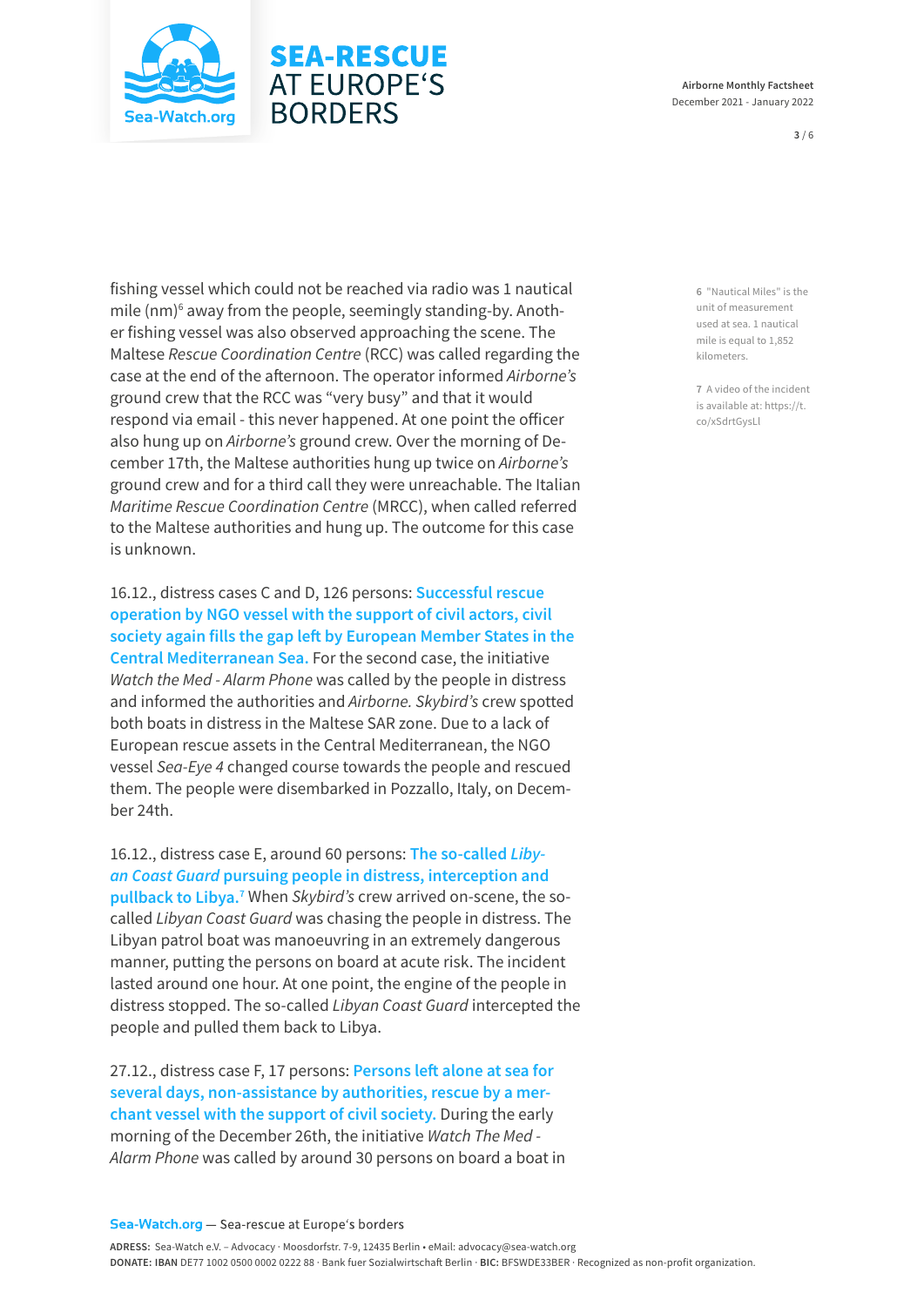

# **SEA-RESCUE AT EUROPE'S BORDERS**

**3** / 6

fishing vessel which could not be reached via radio was 1 nautical mile (nm)<sup>6</sup> away from the people, seemingly standing-by. Another fishing vessel was also observed approaching the scene. The Maltese *Rescue Coordination Centre* (RCC) was called regarding the case at the end of the afternoon. The operator informed *Airborne's* ground crew that the RCC was "very busy" and that it would respond via email - this never happened. At one point the officer also hung up on *Airborne's* ground crew. Over the morning of December 17th, the Maltese authorities hung up twice on *Airborne's* ground crew and for a third call they were unreachable. The Italian *Maritime Rescue Coordination Centre* (MRCC), when called referred to the Maltese authorities and hung up. The outcome for this case is unknown.

16.12., distress cases C and D, 126 persons: **Successful rescue operation by NGO vessel with the support of civil actors, civil society again fills the gap left by European Member States in the Central Mediterranean Sea.** For the second case, the initiative *Watch the Med - Alarm Phone* was called by the people in distress and informed the authorities and *Airborne. Skybird's* crew spotted both boats in distress in the Maltese SAR zone. Due to a lack of European rescue assets in the Central Mediterranean, the NGO vessel *Sea-Eye 4* changed course towards the people and rescued them. The people were disembarked in Pozzallo, Italy, on December 24th.

16.12., distress case E, around 60 persons: **The so-called** *Libyan Coast Guard* **pursuing people in distress, interception and pullback to Libya.7** When *Skybird's* crew arrived on-scene, the socalled *Libyan Coast Guard* was chasing the people in distress. The Libyan patrol boat was manoeuvring in an extremely dangerous manner, putting the persons on board at acute risk. The incident lasted around one hour. At one point, the engine of the people in distress stopped. The so-called *Libyan Coast Guard* intercepted the people and pulled them back to Libya.

27.12., distress case F, 17 persons: **Persons left alone at sea for several days, non-assistance by authorities, rescue by a merchant vessel with the support of civil society.** During the early morning of the December 26th, the initiative *Watch The Med - Alarm Phone* was called by around 30 persons on board a boat in **6** "Nautical Miles" is the unit of measurement used at sea. 1 nautical mile is equal to 1,852 kilometers.

**7** A video of the incident is available at: [https://t.](https://t.co/xSdrtGysLl) [co/xSdrtGysLl](https://t.co/xSdrtGysLl)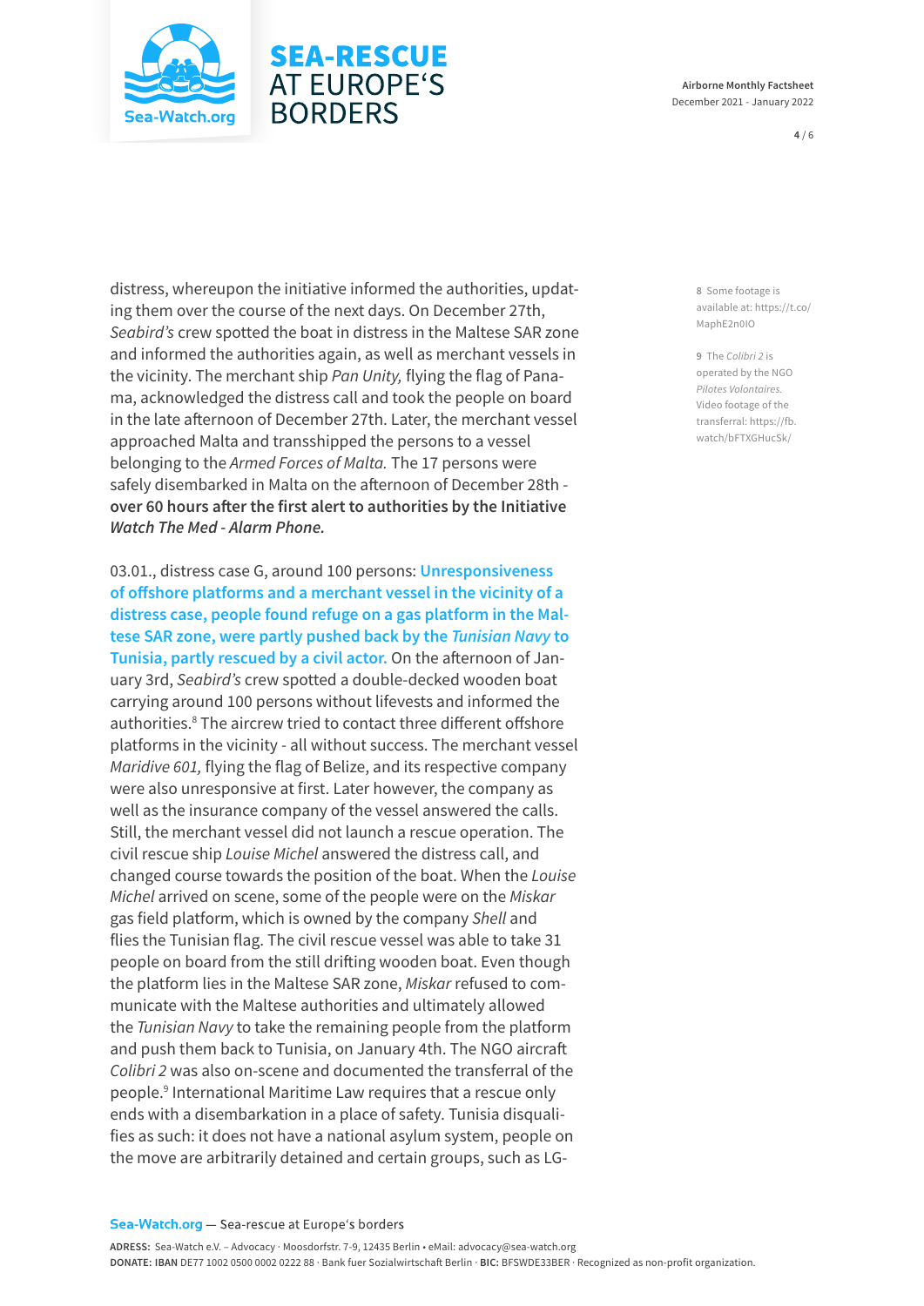

# **SEA-RESCUE AT EUROPE'S BORDERS**

**Airborne Monthly Factsheet**  December 2021 - January 2022

**4** / 6

distress, whereupon the initiative informed the authorities, updating them over the course of the next days. On December 27th, *Seabird's* crew spotted the boat in distress in the Maltese SAR zone and informed the authorities again, as well as merchant vessels in the vicinity. The merchant ship *Pan Unity,* flying the flag of Panama, acknowledged the distress call and took the people on board in the late afternoon of December 27th. Later, the merchant vessel approached Malta and transshipped the persons to a vessel belonging to the *Armed Forces of Malta.* The 17 persons were safely disembarked in Malta on the afternoon of December 28th **over 60 hours after the first alert to authorities by the Initiative**  *Watch The Med - Alarm Phone.*

03.01., distress case G, around 100 persons: **Unresponsiveness of offshore platforms and a merchant vessel in the vicinity of a distress case, people found refuge on a gas platform in the Maltese SAR zone, were partly pushed back by the** *Tunisian Navy* **to Tunisia, partly rescued by a civil actor.** On the afternoon of January 3rd, *Seabird's* crew spotted a double-decked wooden boat carrying around 100 persons without lifevests and informed the authorities.<sup>8</sup> The aircrew tried to contact three different offshore platforms in the vicinity - all without success. The merchant vessel *Maridive 601,* flying the flag of Belize, and its respective company were also unresponsive at first. Later however, the company as well as the insurance company of the vessel answered the calls. Still, the merchant vessel did not launch a rescue operation. The civil rescue ship *Louise Michel* answered the distress call, and changed course towards the position of the boat. When the *Louise Michel* arrived on scene, some of the people were on the *Miskar* gas field platform, which is owned by the company *Shell* and flies the Tunisian flag. The civil rescue vessel was able to take 31 people on board from the still drifting wooden boat. Even though the platform lies in the Maltese SAR zone, *Miskar* refused to communicate with the Maltese authorities and ultimately allowed the *Tunisian Navy* to take the remaining people from the platform and push them back to Tunisia, on January 4th. The NGO aircraft *Colibri 2* was also on-scene and documented the transferral of the people.<sup>9</sup> International Maritime Law requires that a rescue only ends with a disembarkation in a place of safety. Tunisia disqualifies as such: it does not have a national asylum system, people on the move are arbitrarily detained and certain groups, such as LG-

**8** Some footage is available at: [https://t.co/](https://t.co/MaphE2n0IO) [MaphE2n0IO](https://t.co/MaphE2n0IO)

**9** The *Colibri 2* is operated by the NGO *Pilotes Volontaires.* Video footage of the transferral: [https://fb.](https://fb.watch/bFTXGHucSk/) [watch/bFTXGHucSk/](https://fb.watch/bFTXGHucSk/)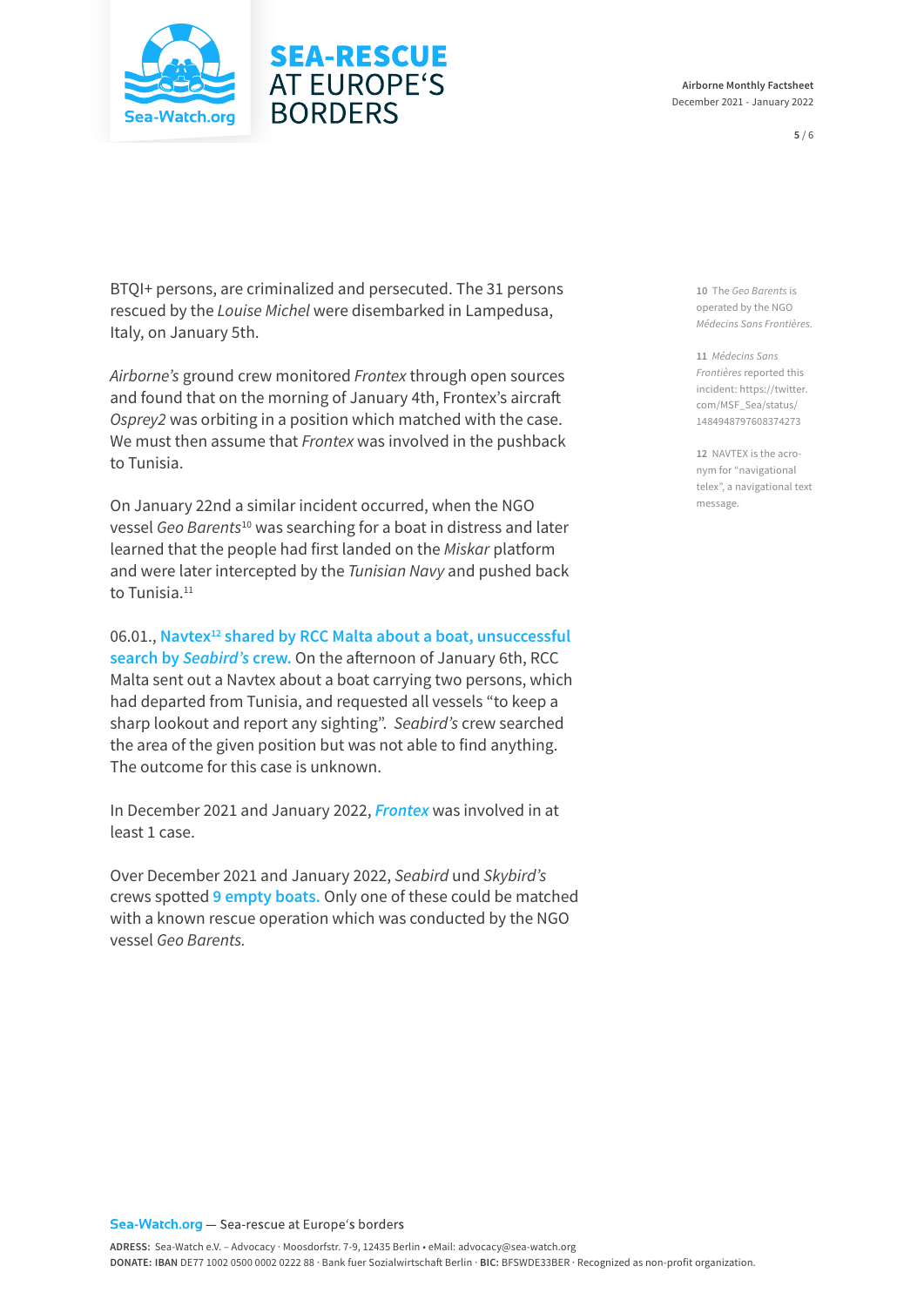



**5** / 6

BTQI+ persons, are criminalized and persecuted. The 31 persons rescued by the *Louise Michel* were disembarked in Lampedusa, Italy, on January 5th.

**SEA-RESCUE AT EUROPE'S** 

**BORDERS** 

*Airborne's* ground crew monitored *Frontex* through open sources and found that on the morning of January 4th, Frontex's aircraft *Osprey2* was orbiting in a position which matched with the case. We must then assume that *Frontex* was involved in the pushback to Tunisia.

On January 22nd a similar incident occurred, when the NGO vessel *Geo Barents*10 was searching for a boat in distress and later learned that the people had first landed on the *Miskar* platform and were later intercepted by the *Tunisian Navy* and pushed back to Tunisia.11

06.01., **Navtex12 shared by RCC Malta about a boat, unsuccessful search by** *Seabird's* **crew.** On the afternoon of January 6th, RCC Malta sent out a Navtex about a boat carrying two persons, which had departed from Tunisia, and requested all vessels "to keep a sharp lookout and report any sighting". *Seabird's* crew searched the area of the given position but was not able to find anything. The outcome for this case is unknown.

In December 2021 and January 2022, *Frontex* was involved in at least 1 case.

Over December 2021 and January 2022, *Seabird* und *Skybird's* crews spotted **9 empty boats.** Only one of these could be matched with a known rescue operation which was conducted by the NGO vessel *Geo Barents.*

**10** The *Geo Barents* is operated by the NGO *Médecins Sans Frontières.*

**11** *Médecins Sans Frontières* reported this incident: [https://twitter.](https://twitter.com/MSF_Sea/status/1484948797608374273) [com/MSF\\_Sea/status/](https://twitter.com/MSF_Sea/status/1484948797608374273) [1484948797608374273](https://twitter.com/MSF_Sea/status/1484948797608374273)

**12** NAVTEX is the acronym for "navigational telex", a navigational text message.